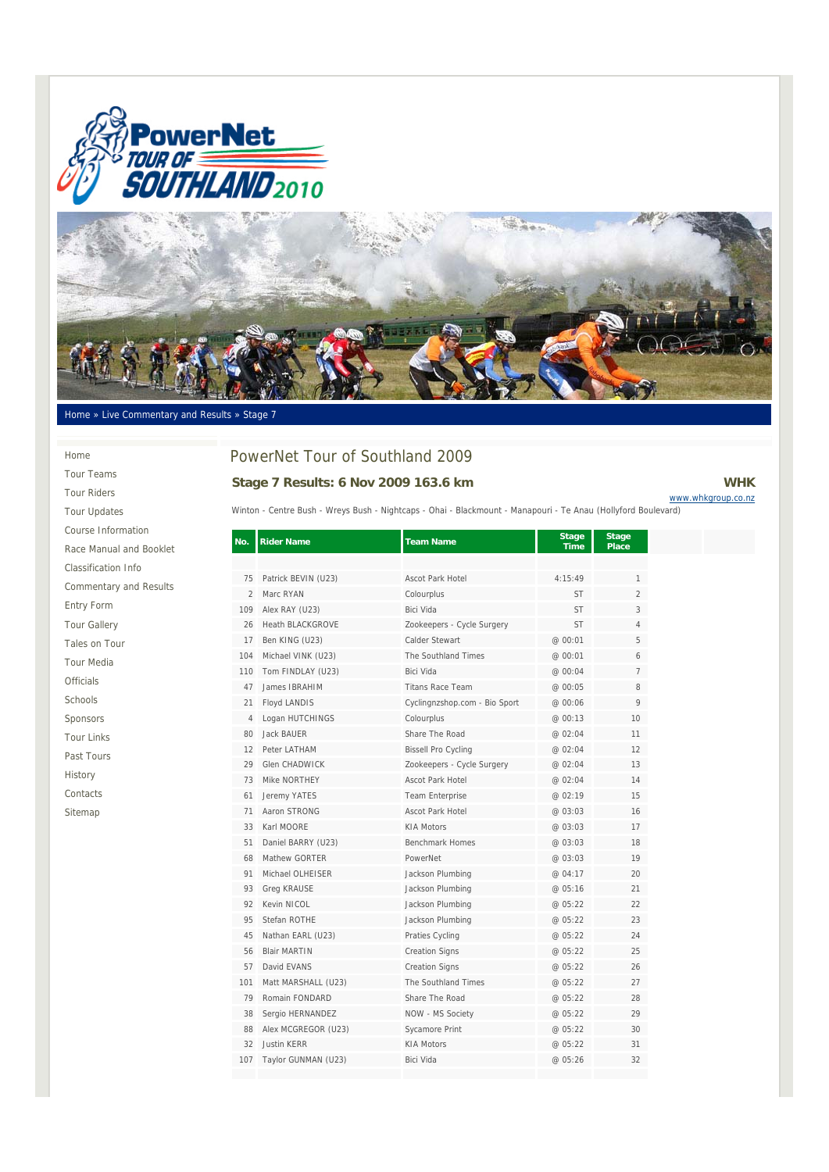



#### Home » Live Commentary and Results » Stage 7

Home Tour Teams Tour Riders Tour Updates Course Information Race Manual and Booklet Classification Info Commentary and Results

Entry Form Tour Gallery Tales on Tour Tour Media Officials Schools Sponsors Tour Links Past Tours History Contacts Sitemap

# PowerNet Tour of Southland 2009 **Stage 7 Results: 6 Nov 2009 163.6 km WHK**

www.whkgroup.co.nz

Winton - Centre Bush - Wreys Bush - Nightcaps - Ohai - Blackmount - Manapouri - Te Anau (Hollyford Boulevard)

| No.            | <b>Rider Name</b>       | <b>Team Name</b>              | <b>Stage</b><br><b>Time</b> | Stage<br><b>Place</b> |
|----------------|-------------------------|-------------------------------|-----------------------------|-----------------------|
|                |                         |                               |                             |                       |
| 75             | Patrick BEVIN (U23)     | <b>Ascot Park Hotel</b>       | 4:15:49                     | 1                     |
| $\overline{2}$ | Marc RYAN               | Colourplus                    | <b>ST</b>                   | $\overline{2}$        |
| 109            | Alex RAY (U23)          | Bici Vida                     | <b>ST</b>                   | 3                     |
| 26             | <b>Heath BLACKGROVE</b> | Zookeepers - Cycle Surgery    | <b>ST</b>                   | 4                     |
| 17             | Ben KING (U23)          | Calder Stewart                | @ 00:01                     | 5                     |
| 104            | Michael VINK (U23)      | The Southland Times           | @ 00:01                     | 6                     |
| 110            | Tom FINDLAY (U23)       | Bici Vida                     | @ 00:04                     | 7                     |
| 47             | James IBRAHIM           | <b>Titans Race Team</b>       | @ 00:05                     | 8                     |
| 21             | Floyd LANDIS            | Cyclingnzshop.com - Bio Sport | @ 00:06                     | 9                     |
| $\overline{4}$ | Logan HUTCHINGS         | Colourplus                    | @ 00:13                     | 10                    |
| 80             | <b>Jack BAUER</b>       | Share The Road                | @ 02:04                     | 11                    |
| 12             | Peter LATHAM            | <b>Bissell Pro Cycling</b>    | @ 02:04                     | 12                    |
| 29             | <b>Glen CHADWICK</b>    | Zookeepers - Cycle Surgery    | @ 02:04                     | 13                    |
| 73             | Mike NORTHFY            | Ascot Park Hotel              | @ 02:04                     | 14                    |
| 61             | Jeremy YATES            | Team Enterprise               | @ 02:19                     | 15                    |
| 71             | Aaron STRONG            | Ascot Park Hotel              | @ 03:03                     | 16                    |
| 33             | Karl MOORE              | <b>KIA Motors</b>             | @ 03:03                     | 17                    |
| 51             | Daniel BARRY (U23)      | <b>Benchmark Homes</b>        | @03:03                      | 18                    |
| 68             | Mathew GORTER           | PowerNet                      | @ 03:03                     | 19                    |
| 91             | Michael OLHEISER        | Jackson Plumbing              | @ 04:17                     | 20                    |
| 93             | Greg KRAUSE             | Jackson Plumbing              | @ 05:16                     | 21                    |
| 92             | Kevin NICOL             | Jackson Plumbing              | @ 05:22                     | 22                    |
| 95             | Stefan ROTHE            | Jackson Plumbing              | @ 05:22                     | 23                    |
| 45             | Nathan EARL (U23)       | Praties Cycling               | @ 05:22                     | 24                    |
| 56             | <b>Blair MARTIN</b>     | <b>Creation Signs</b>         | @ 05:22                     | 25                    |
| 57             | David EVANS             | <b>Creation Signs</b>         | @ 05:22                     | 26                    |
| 101            | Matt MARSHALL (U23)     | The Southland Times           | @ 05:22                     | 27                    |
| 79             | Romain FONDARD          | Share The Road                | @ 05:22                     | 28                    |
| 38             | Sergio HERNANDEZ        | NOW - MS Society              | @ 05:22                     | 29                    |
| 88             | Alex MCGREGOR (U23)     | Sycamore Print                | @ 05:22                     | 30                    |
| 32             | <b>Justin KERR</b>      | <b>KIA Motors</b>             | @ 05:22                     | 31                    |
| 107            | Taylor GUNMAN (U23)     | Bici Vida                     | @ 05:26                     | 32                    |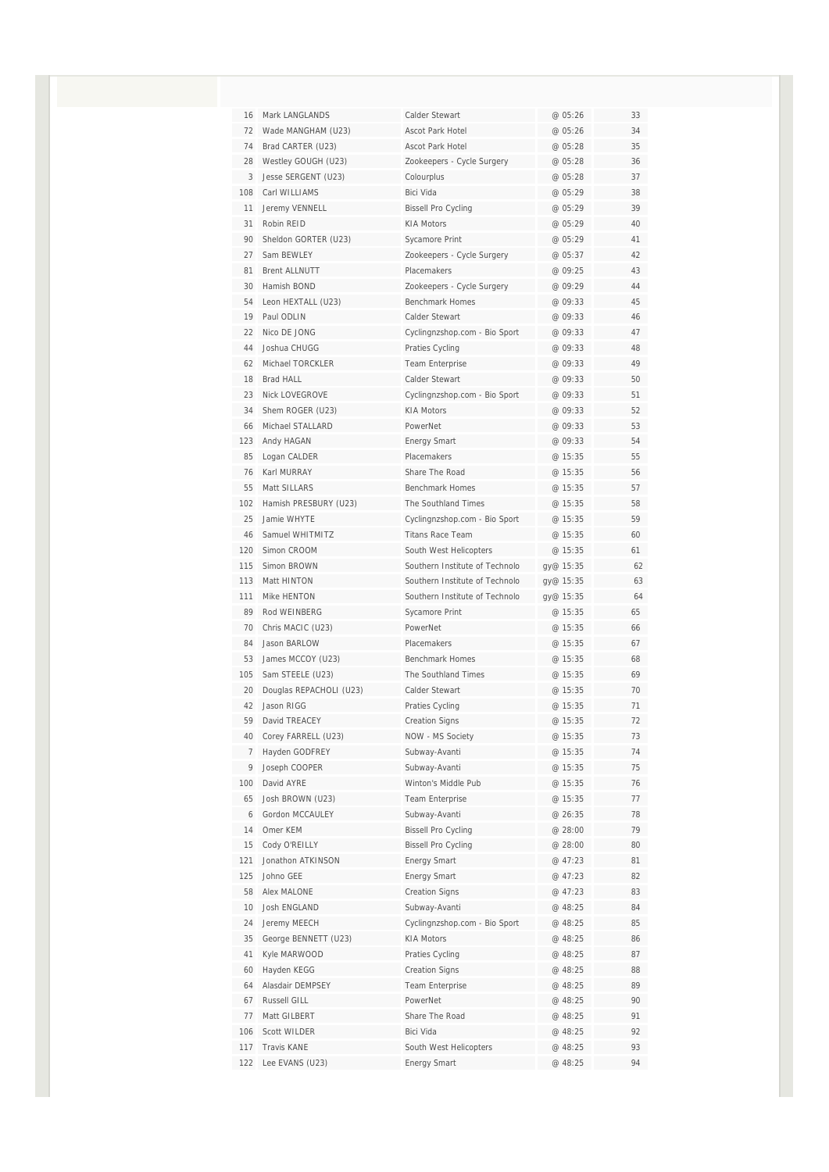| 16             | Mark LANGLANDS          | Calder Stewart                 | @ 05:26   | 33 |
|----------------|-------------------------|--------------------------------|-----------|----|
| 72             | Wade MANGHAM (U23)      | Ascot Park Hotel               | @ 05:26   | 34 |
| 74             | Brad CARTER (U23)       | Ascot Park Hotel               | @ 05:28   | 35 |
| 28             | Westley GOUGH (U23)     | Zookeepers - Cycle Surgery     | @ 05:28   | 36 |
| 3              | Jesse SERGENT (U23)     | Colourplus                     | @ 05:28   | 37 |
| 108            | Carl WILLIAMS           | <b>Bici Vida</b>               | @ 05:29   | 38 |
| 11             | Jeremy VENNELL          | <b>Bissell Pro Cycling</b>     | @ 05:29   | 39 |
| 31             | Robin REID              | <b>KIA Motors</b>              | @ 05:29   | 40 |
| 90             | Sheldon GORTER (U23)    | Sycamore Print                 | @ 05:29   | 41 |
| 27             | Sam BEWLEY              | Zookeepers - Cycle Surgery     | @ 05:37   | 42 |
| 81             | <b>Brent ALLNUTT</b>    | Placemakers                    | @ 09:25   | 43 |
| 30             | Hamish BOND             | Zookeepers - Cycle Surgery     | @ 09:29   | 44 |
| 54             | Leon HEXTALL (U23)      | <b>Benchmark Homes</b>         | @ 09:33   | 45 |
| 19             | Paul ODLIN              | Calder Stewart                 | @ 09:33   | 46 |
| 22             | Nico DE JONG            | Cyclingnzshop.com - Bio Sport  | @ 09:33   | 47 |
| 44             | Joshua CHUGG            | Praties Cycling                | @ 09:33   | 48 |
| 62             | Michael TORCKLER        | Team Enterprise                | @ 09:33   | 49 |
| 18             | <b>Brad HALL</b>        | Calder Stewart                 | @ 09:33   | 50 |
| 23             | <b>Nick LOVEGROVE</b>   | Cyclingnzshop.com - Bio Sport  | @ 09:33   | 51 |
| 34             | Shem ROGER (U23)        | <b>KIA Motors</b>              | @ 09:33   | 52 |
| 66             | Michael STALLARD        | PowerNet                       | @ 09:33   | 53 |
| 123            | Andy HAGAN              | <b>Energy Smart</b>            | @ 09:33   | 54 |
| 85             | Logan CALDER            | Placemakers                    | @ 15:35   | 55 |
| 76             | Karl MURRAY             | Share The Road                 | @ 15:35   | 56 |
| 55             | Matt SILLARS            | Benchmark Homes                | @ 15:35   | 57 |
| 102            | Hamish PRESBURY (U23)   | The Southland Times            | @ 15:35   | 58 |
| 25             | Jamie WHYTE             | Cyclingnzshop.com - Bio Sport  | @ 15:35   | 59 |
| 46             | Samuel WHITMITZ         | <b>Titans Race Team</b>        | @ 15:35   | 60 |
| 120            | Simon CROOM             | South West Helicopters         | @ 15:35   | 61 |
| 115            | Simon BROWN             | Southern Institute of Technolo | gy@ 15:35 | 62 |
| 113            | Matt HINTON             | Southern Institute of Technolo | gy@ 15:35 | 63 |
| 111            | Mike HENTON             | Southern Institute of Technolo | gy@ 15:35 | 64 |
| 89             | Rod WEINBERG            | Sycamore Print                 | @ 15:35   | 65 |
| 70             | Chris MACIC (U23)       | PowerNet                       | @ 15:35   | 66 |
| 84             | Jason BARLOW            | Placemakers                    | @15:35    | 67 |
| 53             | James MCCOY (U23)       | Benchmark Homes                | @ 15:35   | 68 |
| 105            | Sam STEELE (U23)        | The Southland Times            | @ 15:35   | 69 |
| 20             | Douglas REPACHOLI (U23) | Calder Stewart                 | @ 15:35   | 70 |
| 42             | Jason RIGG              | Praties Cycling                | @ 15:35   | 71 |
| 59             | David TRFACFY           | <b>Creation Signs</b>          | @ 15:35   | 72 |
| 40             | Corey FARRELL (U23)     | NOW - MS Society               | @ 15:35   | 73 |
| $7\phantom{.}$ | Hayden GODFREY          | Subway-Avanti                  | @ 15:35   | 74 |
| 9              | Joseph COOPER           | Subway-Avanti                  | @ 15:35   | 75 |
| 100            | David AYRE              | Winton's Middle Pub            | @ 15:35   | 76 |
| 65             | Josh BROWN (U23)        | <b>Team Enterprise</b>         | @ 15:35   | 77 |
| 6              | Gordon MCCAULEY         | Subway-Avanti                  | @ 26:35   | 78 |
| 14             | Omer KEM                | <b>Bissell Pro Cycling</b>     | @ 28:00   | 79 |
| 15             | Cody O'REILLY           | <b>Bissell Pro Cycling</b>     | @ 28:00   | 80 |
| 121            | Jonathon ATKINSON       | <b>Energy Smart</b>            | @ 47:23   | 81 |
| 125            | Johno GEE               | <b>Energy Smart</b>            | @ 47:23   | 82 |
| 58             | Alex MALONE             | <b>Creation Signs</b>          | @ 47:23   | 83 |
| 10             | Josh ENGLAND            | Subway-Avanti                  | @ 48:25   | 84 |
| 24             | Jeremy MEECH            | Cyclingnzshop.com - Bio Sport  | @ 48:25   | 85 |
| 35             | George BENNETT (U23)    | <b>KIA Motors</b>              | @ 48:25   | 86 |
| 41             | Kyle MARWOOD            | Praties Cycling                | @ 48:25   | 87 |
| 60             | Hayden KEGG             | <b>Creation Signs</b>          | @ 48:25   | 88 |
| 64             | Alasdair DEMPSEY        | Team Enterprise                | @ 48:25   | 89 |
| 67             | Russell GILL            | PowerNet                       | @ 48:25   | 90 |
| 77             | Matt GILBERT            | Share The Road                 | @ 48:25   | 91 |
| 106            | Scott WILDER            | Bici Vida                      | @ 48:25   | 92 |
| 117            | Travis KANE             | South West Helicopters         | @ 48:25   | 93 |
| 122            | Lee EVANS (U23)         | <b>Energy Smart</b>            | @ 48:25   | 94 |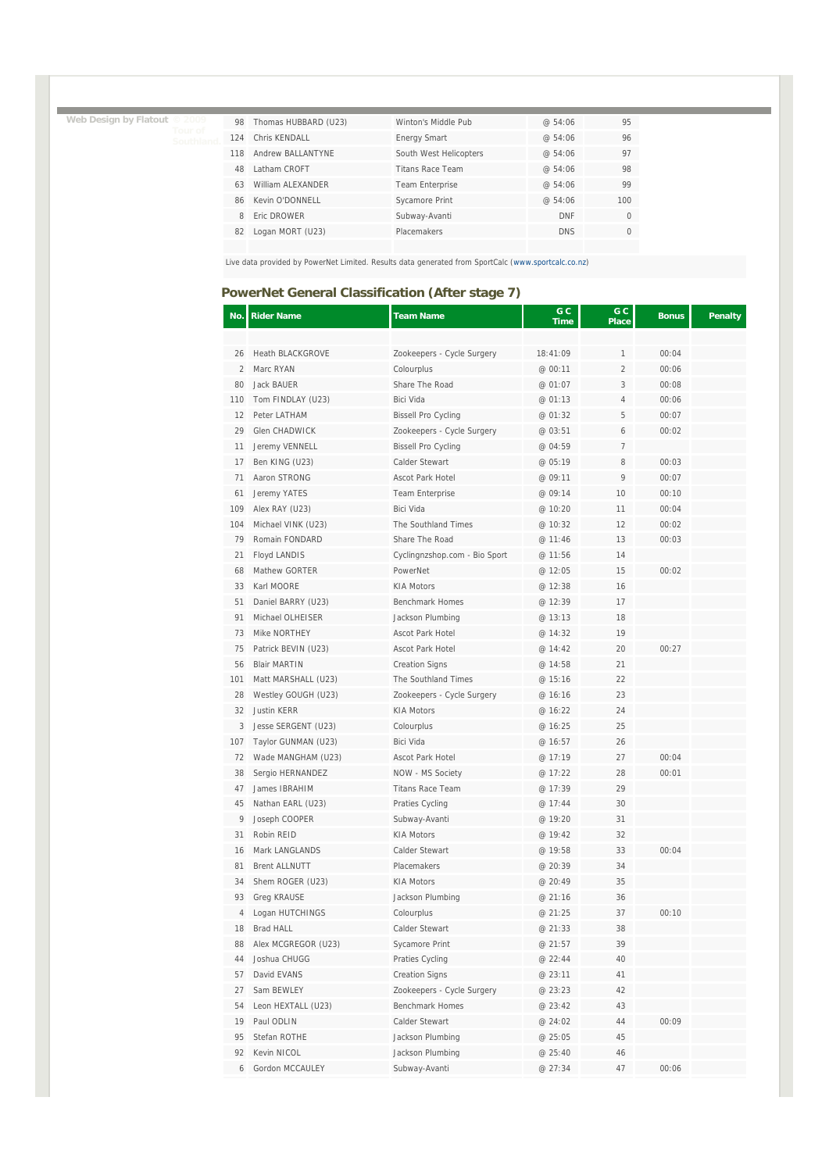**Web Design by Flatout © 2009** 

| 98  | Thomas HUBBARD (U23) | Winton's Middle Pub     | @54:06     | 95       |
|-----|----------------------|-------------------------|------------|----------|
| 124 | Chris KFNDALL        | <b>Energy Smart</b>     | @54:06     | 96       |
| 118 | Andrew BALLANTYNF    | South West Helicopters  | @54:06     | 97       |
| 48  | Latham CROFT         | <b>Titans Race Team</b> | @54:06     | 98       |
| 63  | William ALFXANDER    | <b>Team Enterprise</b>  | @54:06     | 99       |
| 86  | Kevin O'DONNELL      | Sycamore Print          | @54:06     | 100      |
| 8   | Fric DROWFR          | Subway-Avanti           | <b>DNF</b> | $\Omega$ |
| 82  | Logan MORT (U23)     | Placemakers             | <b>DNS</b> | $\Omega$ |
|     |                      |                         |            |          |

Live data provided by PowerNet Limited. Results data generated from SportCalc (www.sportcalc.co.nz)

## **PowerNet General Classification (After stage 7)**

| No.            | <b>Rider Name</b>       | <b>Team Name</b>              | G C<br>Time | G C<br><b>Place</b> | <b>Bonus</b> | Penalty |
|----------------|-------------------------|-------------------------------|-------------|---------------------|--------------|---------|
|                |                         |                               |             |                     |              |         |
| 26             | <b>Heath BLACKGROVE</b> | Zookeepers - Cycle Surgery    | 18:41:09    | 1                   | 00:04        |         |
| $\overline{2}$ | Marc RYAN               | Colourplus                    | @ 00:11     | $\overline{2}$      | 00:06        |         |
| 80             | Jack BAUER              | Share The Road                | @ 01:07     | 3                   | 00:08        |         |
| 110            | Tom FINDLAY (U23)       | Bici Vida                     | @ 01:13     | $\sqrt{4}$          | 00:06        |         |
| 12             | Peter LATHAM            | <b>Bissell Pro Cycling</b>    | @ 01:32     | 5                   | 00:07        |         |
| 29             | Glen CHADWICK           | Zookeepers - Cycle Surgery    | @ 03:51     | 6                   | 00:02        |         |
| 11             | Jeremy VENNELL          | <b>Bissell Pro Cycling</b>    | @ 04:59     | 7                   |              |         |
| 17             | Ben KING (U23)          | Calder Stewart                | @ 05:19     | 8                   | 00:03        |         |
| 71             | Aaron STRONG            | <b>Ascot Park Hotel</b>       | @ 09:11     | 9                   | 00:07        |         |
| 61             | Jeremy YATES            | Team Enterprise               | @ 09:14     | 10                  | 00:10        |         |
| 109            | Alex RAY (U23)          | Bici Vida                     | @ 10:20     | 11                  | 00:04        |         |
| 104            | Michael VINK (U23)      | The Southland Times           | @ 10:32     | 12                  | 00:02        |         |
| 79             | Romain FONDARD          | Share The Road                | @ 11:46     | 13                  | 00:03        |         |
| 21             | <b>Floyd LANDIS</b>     | Cyclingnzshop.com - Bio Sport | @ 11:56     | 14                  |              |         |
| 68             | Mathew GORTER           | PowerNet                      | @ 12:05     | 15                  | 00:02        |         |
| 33             | Karl MOORE              | <b>KIA Motors</b>             | @ 12:38     | 16                  |              |         |
| 51             | Daniel BARRY (U23)      | <b>Benchmark Homes</b>        | @ 12:39     | 17                  |              |         |
| 91             | Michael OLHEISER        | Jackson Plumbing              | @ 13:13     | 18                  |              |         |
| 73             | Mike NORTHEY            | Ascot Park Hotel              | @ 14:32     | 19                  |              |         |
| 75             | Patrick BEVIN (U23)     | Ascot Park Hotel              | @ 14:42     | 20                  | 00:27        |         |
| 56             | <b>Blair MARTIN</b>     | <b>Creation Signs</b>         | @ 14:58     | 21                  |              |         |
| 101            | Matt MARSHALL (U23)     | The Southland Times           | @ 15:16     | 22                  |              |         |
| 28             | Westley GOUGH (U23)     | Zookeepers - Cycle Surgery    | @ 16:16     | 23                  |              |         |
| 32             | <b>Justin KERR</b>      | <b>KIA Motors</b>             | @ 16:22     | 24                  |              |         |
| 3              | Jesse SERGENT (U23)     | Colourplus                    | @ 16:25     | 25                  |              |         |
| 107            | Taylor GUNMAN (U23)     | Bici Vida                     | @ 16:57     | 26                  |              |         |
| 72             | Wade MANGHAM (U23)      | Ascot Park Hotel              | @ 17:19     | 27                  | 00:04        |         |
| 38             | Sergio HERNANDEZ        | NOW - MS Society              | @ 17:22     | 28                  | 00:01        |         |
| 47             | James IBRAHIM           | <b>Titans Race Team</b>       | @ 17:39     | 29                  |              |         |
| 45             | Nathan EARL (U23)       | Praties Cycling               | @ 17:44     | 30                  |              |         |
| 9              | Joseph COOPER           | Subway-Avanti                 | @ 19:20     | 31                  |              |         |
| 31             | Robin REID              | <b>KIA Motors</b>             | @ 19:42     | 32                  |              |         |
| 16             | Mark LANGLANDS          | Calder Stewart                | @ 19:58     | 33                  | 00:04        |         |
| 81             | <b>Brent ALLNUTT</b>    | Placemakers                   | @ 20:39     | 34                  |              |         |
| 34             | Shem ROGER (U23)        | <b>KIA Motors</b>             | @ 20:49     | 35                  |              |         |
| 93             | Greg KRAUSE             | Jackson Plumbing              | @ 21:16     | 36                  |              |         |
| $\overline{4}$ | Logan HUTCHINGS         | Colourplus                    | @ 21:25     | 37                  | 00:10        |         |
| 18             | <b>Brad HALL</b>        | Calder Stewart                | @ 21:33     | 38                  |              |         |
| 88             | Alex MCGREGOR (U23)     | Sycamore Print                | @ 21:57     | 39                  |              |         |
| 44             | Joshua CHUGG            | Praties Cycling               | @ 22:44     | 40                  |              |         |
| 57             | David EVANS             | <b>Creation Signs</b>         | @ 23:11     | 41                  |              |         |
| 27             | Sam BEWLEY              | Zookeepers - Cycle Surgery    | @ 23:23     | 42                  |              |         |
| 54             | Leon HEXTALL (U23)      | Benchmark Homes               | @ 23:42     | 43                  |              |         |
| 19             | Paul ODLIN              | Calder Stewart                | @ 24:02     | 44                  | 00:09        |         |
| 95             | Stefan ROTHE            | Jackson Plumbing              | @ 25:05     | 45                  |              |         |
| 92             | Kevin NICOL             | Jackson Plumbing              | @ 25:40     | 46                  |              |         |
| 6              | Gordon MCCAULEY         | Subway-Avanti                 | @ 27:34     | 47                  | 00:06        |         |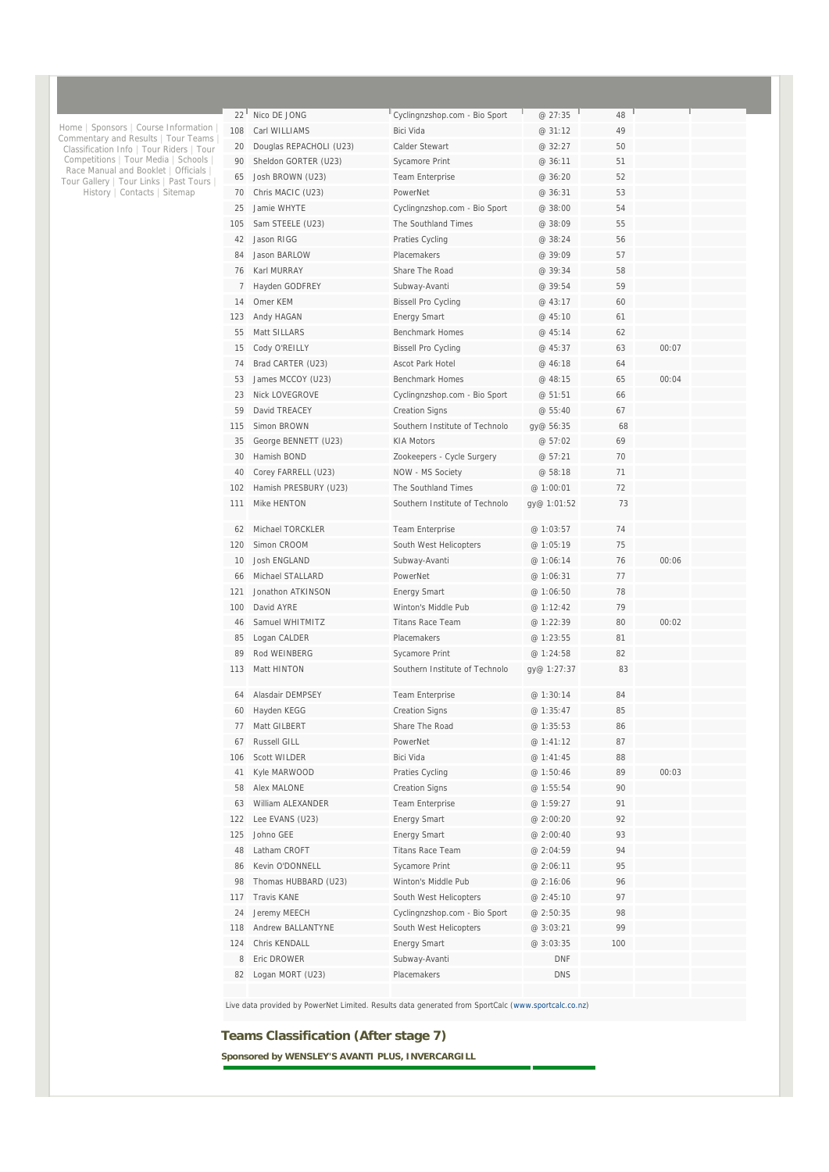| 22             | Nico DF JONG            | Cyclingnzshop.com - Bio Sport  | @ 27:35     | 48  |       |  |
|----------------|-------------------------|--------------------------------|-------------|-----|-------|--|
| 108            | Carl WILLIAMS           | Bici Vida                      | @ 31:12     | 49  |       |  |
| 20             | Douglas REPACHOLI (U23) | Calder Stewart                 | @ 32:27     | 50  |       |  |
| 90             | Sheldon GORTER (U23)    | Sycamore Print                 | @ 36:11     | 51  |       |  |
| 65             | Josh BROWN (U23)        | <b>Team Enterprise</b>         | @ 36:20     | 52  |       |  |
| 70             | Chris MACIC (U23)       | PowerNet                       | @ 36:31     | 53  |       |  |
| 25             | Jamie WHYTE             | Cyclingnzshop.com - Bio Sport  | @ 38:00     | 54  |       |  |
| 105            | Sam STEELE (U23)        | The Southland Times            | @ 38:09     | 55  |       |  |
| 42             | Jason RIGG              | Praties Cycling                | @ 38:24     | 56  |       |  |
| 84             | Jason BARLOW            | Placemakers                    | @ 39:09     | 57  |       |  |
| 76             | Karl MURRAY             | Share The Road                 | @ 39:34     | 58  |       |  |
| $\overline{7}$ | Hayden GODFREY          | Subway-Avanti                  | @ 39:54     | 59  |       |  |
| 14             | Omer KEM                | <b>Bissell Pro Cycling</b>     | @ 43:17     | 60  |       |  |
| 123            | Andy HAGAN              | <b>Energy Smart</b>            | @ 45:10     | 61  |       |  |
| 55             | Matt SILLARS            | <b>Benchmark Homes</b>         | @ 45:14     | 62  |       |  |
| 15             | Cody O'REILLY           | <b>Bissell Pro Cycling</b>     | @ 45:37     | 63  | 00:07 |  |
| 74             | Brad CARTER (U23)       | Ascot Park Hotel               | @ 46:18     | 64  |       |  |
| 53             | James MCCOY (U23)       | <b>Benchmark Homes</b>         | @ 48:15     | 65  | 00:04 |  |
| 23             | <b>Nick LOVEGROVE</b>   | Cyclingnzshop.com - Bio Sport  | @ 51:51     | 66  |       |  |
| 59             | David TREACEY           | <b>Creation Signs</b>          | @ 55:40     | 67  |       |  |
| 115            | Simon BROWN             | Southern Institute of Technolo | gy@ 56:35   | 68  |       |  |
| 35             | George BENNETT (U23)    | <b>KIA Motors</b>              | @ 57:02     | 69  |       |  |
| 30             | Hamish BOND             | Zookeepers - Cycle Surgery     | @ 57:21     | 70  |       |  |
| 40             | Corey FARRELL (U23)     | NOW - MS Society               | @ 58:18     | 71  |       |  |
| 102            | Hamish PRESBURY (U23)   | The Southland Times            | @ 1:00:01   | 72  |       |  |
| 111            | Mike HENTON             | Southern Institute of Technolo | gy@ 1:01:52 | 73  |       |  |
| 62             | Michael TORCKLER        | Team Enterprise                | @ 1:03:57   | 74  |       |  |
| 120            | Simon CROOM             | South West Helicopters         | @ 1:05:19   | 75  |       |  |
| 10             | Josh ENGLAND            | Subway-Avanti                  | @ 1:06:14   | 76  | 00:06 |  |
| 66             | Michael STALLARD        | PowerNet                       | @ 1:06:31   | 77  |       |  |
| 121            | Jonathon ATKINSON       | <b>Energy Smart</b>            | @ 1:06:50   | 78  |       |  |
| 100            | David AYRE              | Winton's Middle Pub            | @ 1:12:42   | 79  |       |  |
| 46             | Samuel WHITMITZ         | <b>Titans Race Team</b>        | @ 1:22:39   | 80  | 00:02 |  |
| 85             | Logan CALDER            | Placemakers                    | @ 1:23:55   | 81  |       |  |
| 89             | Rod WEINBERG            | Sycamore Print                 | @ 1:24:58   | 82  |       |  |
| 113            | Matt HINTON             | Southern Institute of Technolo | gy@ 1:27:37 | 83  |       |  |
| 64             | Alasdair DEMPSEY        | <b>Team Enterprise</b>         | @ 1:30:14   | 84  |       |  |
| 60             | Hayden KEGG             | <b>Creation Signs</b>          | @ 1:35:47   | 85  |       |  |
| 77             | Matt GILBERT            | Share The Road                 | @ 1:35:53   | 86  |       |  |
| 67             | Russell GILL            | PowerNet                       | @ 1:41:12   | 87  |       |  |
| 106            | Scott WILDER            | Bici Vida                      | @ 1:41:45   | 88  |       |  |
| 41             | Kyle MARWOOD            | Praties Cycling                | @ 1:50:46   | 89  | 00:03 |  |
| 58             | Alex MALONE             | <b>Creation Signs</b>          | @ 1:55:54   | 90  |       |  |
| 63             | William ALEXANDER       | Team Enterprise                | @ 1:59:27   | 91  |       |  |
| 122            | Lee EVANS (U23)         | <b>Energy Smart</b>            | @ 2:00:20   | 92  |       |  |
| 125            | Johno GEE               | <b>Energy Smart</b>            | @ 2:00:40   | 93  |       |  |
| 48             | Latham CROFT            | Titans Race Team               | @ 2:04:59   | 94  |       |  |
| 86             | Kevin O'DONNELL         | Sycamore Print                 | @ 2:06:11   | 95  |       |  |
| 98             | Thomas HUBBARD (U23)    | Winton's Middle Pub            | @ 2:16:06   | 96  |       |  |
| 117            | Travis KANE             | South West Helicopters         | @ 2:45:10   | 97  |       |  |
| 24             | Jeremy MEECH            | Cyclingnzshop.com - Bio Sport  | @ 2:50:35   | 98  |       |  |
| 118            | Andrew BALLANTYNE       | South West Helicopters         | @ 3:03:21   | 99  |       |  |
| 124            | Chris KENDALL           | Energy Smart                   | @ 3:03:35   | 100 |       |  |
| 8              | Eric DROWER             | Subway-Avanti                  | DNF         |     |       |  |
| 82             | Logan MORT (U23)        | Placemakers                    | DNS         |     |       |  |
|                |                         |                                |             |     |       |  |

Live data provided by PowerNet Limited. Results data generated from SportCalc (www.sportcalc.co.nz)

## **Teams Classification (After stage 7)**

**Sponsored by WENSLEY'S AVANTI PLUS, INVERCARGILL** 

Home | Sponsors | Course Information |<br>Commentary and Results | Tour Teams |<br>Classification Info | Tour Riders | Tour<br>Competitions | Tour Media | Schools |<br>Race Manual and Booklet | Officials |<br>Tour Gallery | Tour Links |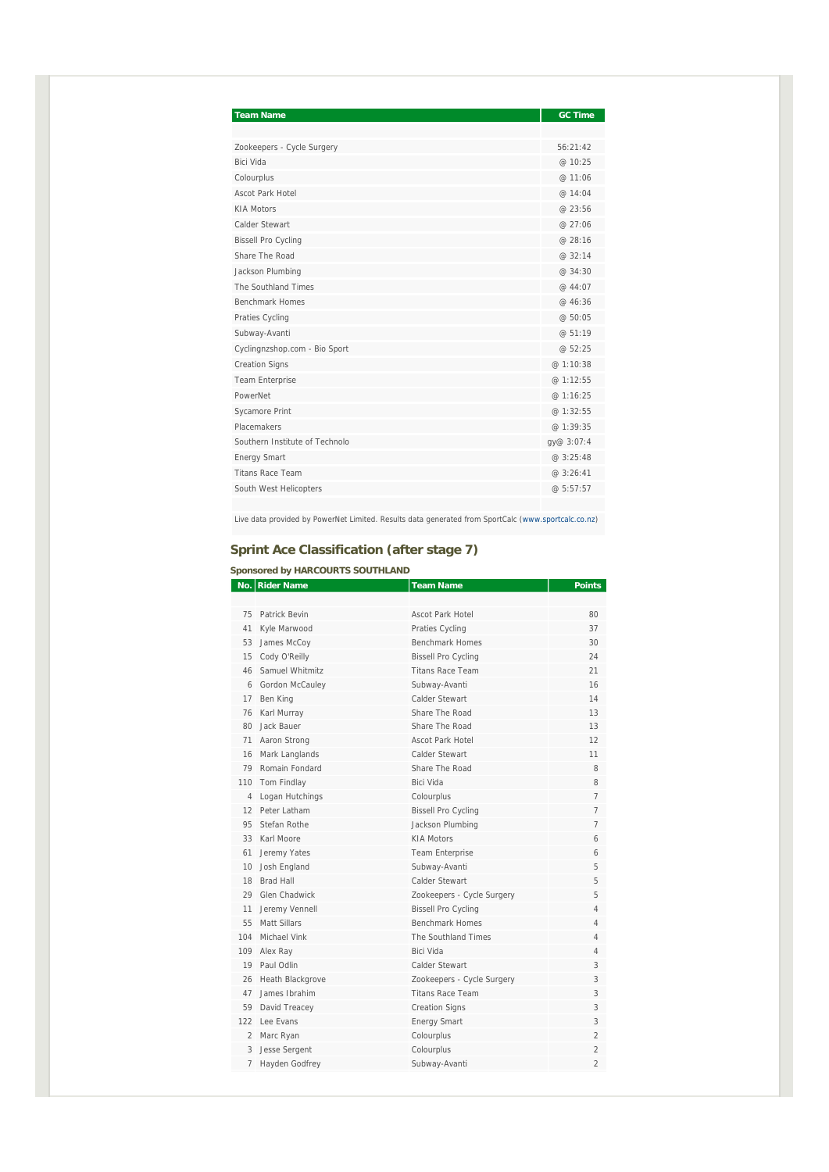| <b>Team Name</b>               | <b>GC Time</b> |
|--------------------------------|----------------|
|                                |                |
|                                |                |
| Zookeepers - Cycle Surgery     | 56:21:42       |
| <b>Bici Vida</b>               | @ 10:25        |
| Colourplus                     | @ 11:06        |
| <b>Ascot Park Hotel</b>        | @ 14:04        |
| <b>KIA Motors</b>              | @23:56         |
| Calder Stewart                 | @ 27:06        |
| <b>Bissell Pro Cycling</b>     | @ 28:16        |
| Share The Road                 | @ 32:14        |
| Jackson Plumbing               | @34:30         |
| The Southland Times            | @ 44:07        |
| Benchmark Homes                | @ 46:36        |
| Praties Cycling                | @50:05         |
| Subway-Avanti                  | @ 51:19        |
| Cyclingnzshop.com - Bio Sport  | @ 52:25        |
| <b>Creation Signs</b>          | @ 1:10:38      |
| <b>Team Enterprise</b>         | @ 1:12:55      |
| PowerNet                       | @ 1:16:25      |
| Sycamore Print                 | @ 1:32:55      |
| Placemakers                    | @ 1:39:35      |
| Southern Institute of Technolo | gy@ 3:07:4     |
| <b>Energy Smart</b>            | @3:25:48       |
| <b>Titans Race Team</b>        | @3:26:41       |
| South West Helicopters         | @5:57:57       |
|                                |                |

Live data provided by PowerNet Limited. Results data generated from SportCalc (www.sportcalc.co.nz)

## **Sprint Ace Classification (after stage 7)**

**Sponsored by HARCOURTS SOUTHLAND** 

|                | No. Rider Name   | <b>Team Name</b>           | <b>Points</b>  |
|----------------|------------------|----------------------------|----------------|
|                |                  |                            |                |
| 75             | Patrick Bevin    | Ascot Park Hotel           | 80             |
| 41             | Kyle Marwood     | Praties Cycling            | 37             |
| 53             | James McCoy      | <b>Benchmark Homes</b>     | 30             |
| 15             | Cody O'Reilly    | <b>Bissell Pro Cycling</b> | 24             |
| 46             | Samuel Whitmitz  | <b>Titans Race Team</b>    | 21             |
| 6              | Gordon McCauley  | Subway-Avanti              | 16             |
| 17             | Ben King         | Calder Stewart             | 14             |
| 76             | Karl Murray      | Share The Road             | 13             |
| 80             | Jack Bauer       | Share The Road             | 13             |
| 71             | Aaron Strong     | Ascot Park Hotel           | 12             |
| 16             | Mark Langlands   | Calder Stewart             | 11             |
| 79             | Romain Fondard   | Share The Road             | 8              |
| 110            | Tom Findlay      | Bici Vida                  | 8              |
| 4              | Logan Hutchings  | Colourplus                 | $\overline{7}$ |
| 12             | Peter Latham     | <b>Bissell Pro Cycling</b> | $\overline{7}$ |
| 95             | Stefan Rothe     | Jackson Plumbing           | $\overline{7}$ |
| 33             | Karl Moore       | <b>KIA Motors</b>          | 6              |
| 61             | Jeremy Yates     | <b>Team Enterprise</b>     | 6              |
| 10             | Josh England     | Subway-Avanti              | 5              |
| 18             | <b>Brad Hall</b> | Calder Stewart             | 5              |
| 29             | Glen Chadwick    | Zookeepers - Cycle Surgery | 5              |
| 11             | Jeremy Vennell   | <b>Bissell Pro Cycling</b> | 4              |
| 55             | Matt Sillars     | <b>Benchmark Homes</b>     | 4              |
| 104            | Michael Vink     | The Southland Times        | 4              |
| 109            | Alex Ray         | Bici Vida                  | 4              |
| 19             | Paul Odlin       | Calder Stewart             | 3              |
| 26             | Heath Blackgrove | Zookeepers - Cycle Surgery | 3              |
| 47             | James Ibrahim    | <b>Titans Race Team</b>    | 3              |
| 59             | David Treacey    | <b>Creation Signs</b>      | 3              |
| 122            | Lee Evans        | <b>Energy Smart</b>        | 3              |
| $\overline{2}$ | Marc Ryan        | Colourplus                 | $\mathfrak{D}$ |
| 3              | Jesse Sergent    | Colourplus                 | $\mathfrak{D}$ |
| $\overline{7}$ | Hayden Godfrey   | Subway-Avanti              | $\mathfrak{D}$ |